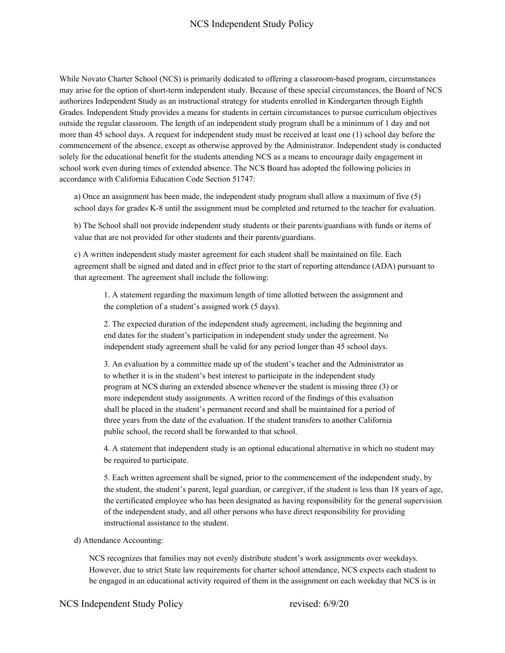# NCS Independent Study Policy

While Novato Charter School (NCS) is primarily dedicated to offering a classroom-based program, circumstances may arise for the option of short-term independent study. Because of these special circumstances, the Board of NCS authorizes Independent Study as an instructional strategy for students enrolled in Kindergarten through Eighth Grades. Independent Study provides a means for students in certain circumstances to pursue curriculum objectives outside the regular classroom. The length of an independent study program shall be a minimum of 1 day and not more than 45 school days. A request for independent study must be received at least one (1) school day before the commencement of the absence, except as otherwise approved by the Administrator. Independent study is conducted solely for the educational benefit for the students attending NCS as a means to encourage daily engagement in school work even during times of extended absence. The NCS Board has adopted the following policies in accordance with California Education Code Section 51747:

a) Once an assignment has been made, the independent study program shall allow a maximum of five (5) school days for grades K-8 until the assignment must be completed and returned to the teacher for evaluation.

b) The School shall not provide independent study students or their parents/guardians with funds or items of value that are not provided for other students and their parents/guardians.

c) A written independent study master agreement for each student shall be maintained on file. Each agreement shall be signed and dated and in effect prior to the start of reporting attendance (ADA) pursuant to that agreement. The agreement shall include the following:

1. A statement regarding the maximum length of time allotted between the assignment and the completion of a student's assigned work (5 days).

2. The expected duration of the independent study agreement, including the beginning and end dates for the student's participation in independent study under the agreement. No independent study agreement shall be valid for any period longer than 45 school days.

3. An evaluation by a committee made up of the student's teacher and the Administrator as to whether it is in the student's best interest to participate in the independent study program at NCS during an extended absence whenever the student is missing three (3) or more independent study assignments. A written record of the findings of this evaluation shall be placed in the student's permanent record and shall be maintained for a period of three years from the date of the evaluation. If the student transfers to another California public school, the record shall be forwarded to that school.

4. A statement that independent study is an optional educational alternative in which no student may be required to participate.

5. Each written agreement shall be signed, prior to the commencement of the independent study, by the student, the student's parent, legal guardian, or caregiver, if the student is less than 18 years of age, the certificated employee who has been designated as having responsibility for the general supervision of the independent study, and all other persons who have direct responsibility for providing instructional assistance to the student.

## d) Attendance Accounting:

NCS recognizes that families may not evenly distribute student's work assignments over weekdays. However, due to strict State law requirements for charter school attendance, NCS expects each student to be engaged in an educational activity required of them in the assignment on each weekday that NCS is in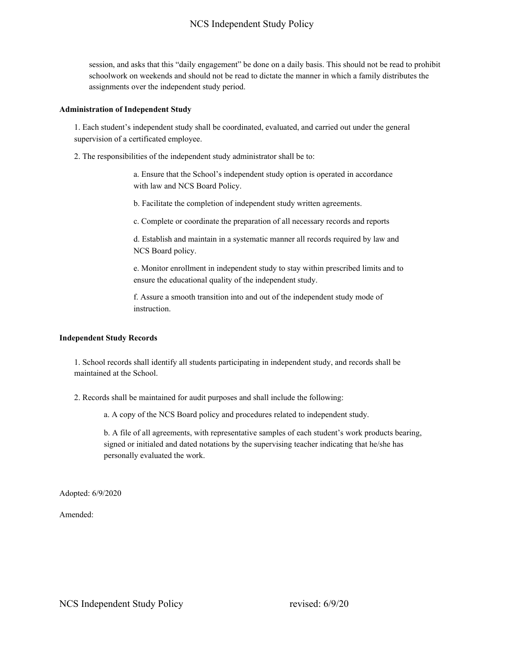session, and asks that this "daily engagement" be done on a daily basis. This should not be read to prohibit schoolwork on weekends and should not be read to dictate the manner in which a family distributes the assignments over the independent study period.

#### **Administration of Independent Study**

1. Each student's independent study shall be coordinated, evaluated, and carried out under the general supervision of a certificated employee.

2. The responsibilities of the independent study administrator shall be to:

a. Ensure that the School's independent study option is operated in accordance with law and NCS Board Policy.

b. Facilitate the completion of independent study written agreements.

c. Complete or coordinate the preparation of all necessary records and reports

d. Establish and maintain in a systematic manner all records required by law and NCS Board policy.

e. Monitor enrollment in independent study to stay within prescribed limits and to ensure the educational quality of the independent study.

f. Assure a smooth transition into and out of the independent study mode of instruction.

## **Independent Study Records**

1. School records shall identify all students participating in independent study, and records shall be maintained at the School.

2. Records shall be maintained for audit purposes and shall include the following:

a. A copy of the NCS Board policy and procedures related to independent study.

b. A file of all agreements, with representative samples of each student's work products bearing, signed or initialed and dated notations by the supervising teacher indicating that he/she has personally evaluated the work.

Adopted: 6/9/2020

Amended: